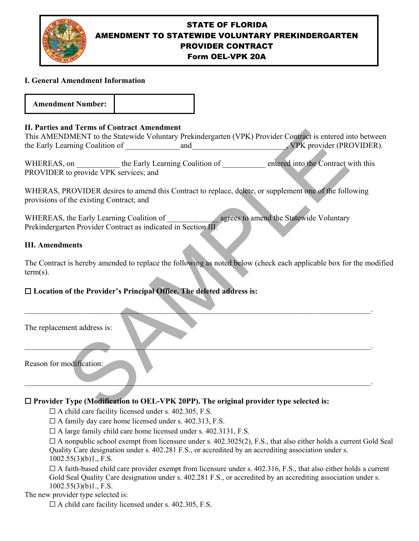

# STATE OF FLORIDA AMENDMENT TO STATEWIDE VOLUNTARY PREKINDERGARTEN PROVIDER CONTRACT Form OEL-VPK 20A

## **I. General Amendment Information**



## **II. Parties and Terms of Contract Amendment**

## **III. Amendments**

The Contract is hereby amended to replace the following as noted below (check each applicable box for the modified term(s).

# ☐ **Location of the Provider's Principal Office. The deleted address is:**

| 11. Farties and Terms of Contract Amendment<br>This AMENDMENT to the Statewide Voluntary Prekindergarten (VPK) Provider Contract is entered into betwo     |
|------------------------------------------------------------------------------------------------------------------------------------------------------------|
|                                                                                                                                                            |
| WHEREAS, on ___________ the Early Learning Coalition of __________ entered into the Contract with this<br>PROVIDER to provide VPK services; and            |
| WHERAS, PROVIDER desires to amend this Contract to replace, delete, or supplement one of the following<br>provisions of the existing Contract; and         |
| WHEREAS, the Early Learning Coalition of<br>Prekindergarten Provider Contract as indicated in Section III.                                                 |
| <b>III.</b> Amendments                                                                                                                                     |
| The Contract is hereby amended to replace the following as noted below (check each applicable box for the mod<br>$term(s)$ .                               |
| □ Location of the Provider's Principal Office. The deleted address is:                                                                                     |
| The replacement address is:                                                                                                                                |
| Reason for modification:                                                                                                                                   |
| $\Box$ Provider Type (Modification to OEL-VPK 20PP). The original provider type selected is:<br>$\Box$ A child care facility licensed under s 402.305 F.S. |

## ☐ **Provider Type (Modification to OEL-VPK 20PP). The original provider type selected is:**

 $\Box$  A child care facility licensed under s. 402.305, F.S.

 $\Box$  A family day care home licensed under s. 402.313, F.S.

 $\Box$  A large family child care home licensed under s. 402.3131, F.S.

 $\Box$  A nonpublic school exempt from licensure under s. 402.3025(2), F.S., that also either holds a current Gold Seal Quality Care designation under s. 402.281 F.S., or accredited by an accrediting association under s.  $1002.55(3)(b)1., F.S.$ 

 $\Box$  A faith-based child care provider exempt from licensure under s. 402.316, F.S., that also either holds a current Gold Seal Quality Care designation under s.  $402.281$  F.S., or accredited by an accrediting association under s.  $1002.55(3)(b)1$ ., F.S.

The new provider type selected is:

 $\Box$  A child care facility licensed under s. 402.305, F.S.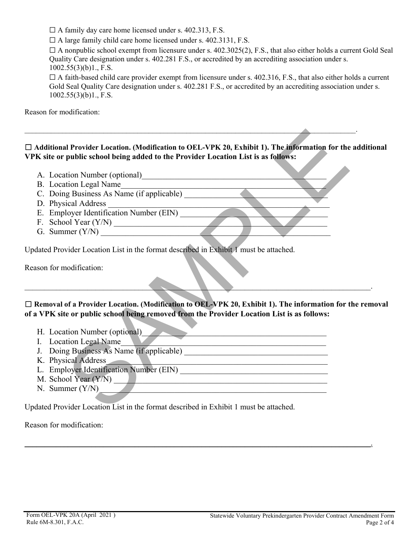$\Box$  A family day care home licensed under s. 402.313, F.S.

 $\Box$  A large family child care home licensed under s. 402.3131, F.S.

 $\Box$  A nonpublic school exempt from licensure under s. 402.3025(2), F.S., that also either holds a current Gold Seal Quality Care designation under s. 402.281 F.S., or accredited by an accrediting association under s. 1002.55(3)(b)1., F.S.

 $\Box$  A faith-based child care provider exempt from licensure under s. 402.316, F.S., that also either holds a current Gold Seal Quality Care designation under s. 402.281 F.S., or accredited by an accrediting association under s.  $1002.55(3)(b)1, F.S.$ 

Reason for modification:

# ☐ **Additional Provider Location. (Modification to OEL-VPK 20, Exhibit 1). The information for the additional VPK site or public school being added to the Provider Location List is as follows:**  Il Provider Location. (Modification to OEL-VPK 20, Exhibit 1). The information for the<br>
public school being added to the Provider Location List is as follows:<br>
tion Number (optional)<br>
tion Legal Name<br>
g Business As Name (i

 $\_$  , and the contribution of the contribution of the contribution of the contribution of  $\mathcal{A}_\mathcal{A}$  , and the contribution of the contribution of the contribution of the contribution of the contribution of the contri

- A. Location Number (optional)
- B. Location Legal Name
- C. Doing Business As Name (if applicable)
- D. Physical Address
- E. Employer Identification Number (EIN)
- F. School Year (Y/N) \_\_\_\_\_\_\_\_\_\_\_\_\_\_\_\_\_\_\_\_\_\_\_\_\_\_\_\_\_\_\_\_\_\_\_\_\_\_\_\_\_\_\_\_\_\_\_\_\_\_\_\_
- G. Summer (Y/N) \_\_\_\_\_\_\_\_\_\_\_\_\_\_\_\_\_\_\_\_\_\_\_\_\_\_\_\_\_\_\_\_\_\_\_\_\_\_\_\_\_\_\_\_\_\_\_\_\_\_\_\_\_\_\_\_

Updated Provider Location List in the format described in Exhibit 1 must be attached.

Reason for modification:

# ☐ **Removal of a Provider Location. (Modification to OEL-VPK 20, Exhibit 1). The information for the removal of a VPK site or public school being removed from the Provider Location List is as follows:**

 $\qquad \qquad -$ 

\_\_\_\_\_\_\_\_\_\_\_\_\_\_\_\_\_\_\_\_\_\_\_\_\_\_\_\_\_\_\_\_\_\_\_\_\_\_\_\_\_\_\_\_\_\_\_\_\_\_\_\_\_\_\_\_\_\_\_\_\_\_\_\_\_\_\_\_\_\_\_\_\_\_\_\_\_\_\_\_\_\_\_\_\_\_\_\_.

- H. Location Number (optional)
- I. Location Legal Name
- J. Doing Business As Name (if applicable) \_\_\_\_\_\_\_\_\_\_\_\_\_\_\_\_\_\_\_\_\_\_\_\_\_\_\_\_\_\_\_\_\_\_\_
- K. Physical Address
- L. Employer Identification Number (EIN)
- M. School Year  $(Y/N)$
- $N.$  Summer  $(Y/N)$

Updated Provider Location List in the format described in Exhibit 1 must be attached.

Reason for modification: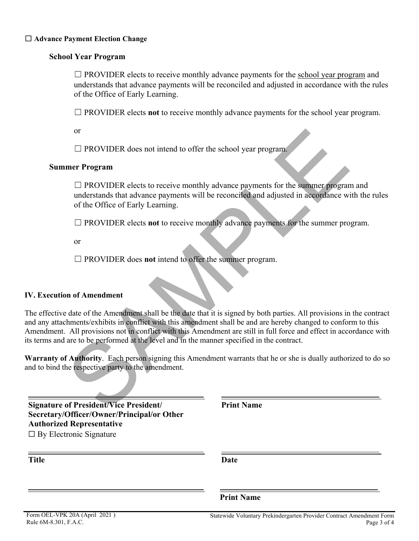## **School Year Program**

 $\Box$  PROVIDER elects to receive monthly advance payments for the school year program and understands that advance payments will be reconciled and adjusted in accordance with the rules of the Office of Early Learning.

☐ PROVIDER elects **not** to receive monthly advance payments for the school year program.

or

 $\Box$  PROVIDER does not intend to offer the school year program.

## **Summer Program**

 $\Box$  PROVIDER elects to receive monthly advance payments for the summer program and understands that advance payments will be reconciled and adjusted in accordance with the rules of the Office of Early Learning.

☐ PROVIDER elects **not** to receive monthly advance payments for the summer program.

or

☐ PROVIDER does **not** intend to offer the summer program.

## **IV. Execution of Amendment**

The effective date of the Amendment shall be the date that it is signed by both parties. All provisions in the contract and any attachments/exhibits in conflict with this amendment shall be and are hereby changed to conform to this Amendment. All provisions not in conflict with this Amendment are still in full force and effect in accordance with its terms and are to be performed at the level and in the manner specified in the contract. α <br>  $□$  PROVIDER does not intend to offer the school year program.<br> **EFROVIDER elects to receive monthly advance payments for the summer program**<br>  $□$  PROVIDER elects to receive monthly advance payments for the summer p

**Warranty of Authority**. Each person signing this Amendment warrants that he or she is dually authorized to do so and to bind the respective party to the amendment.

**Signature of President/Vice President/ Secretary/Officer/Owner/Principal/or Other Authorized Representative**

 $\Box$  By Electronic Signature

**Title Date**

**Print Name**

**Print Name**